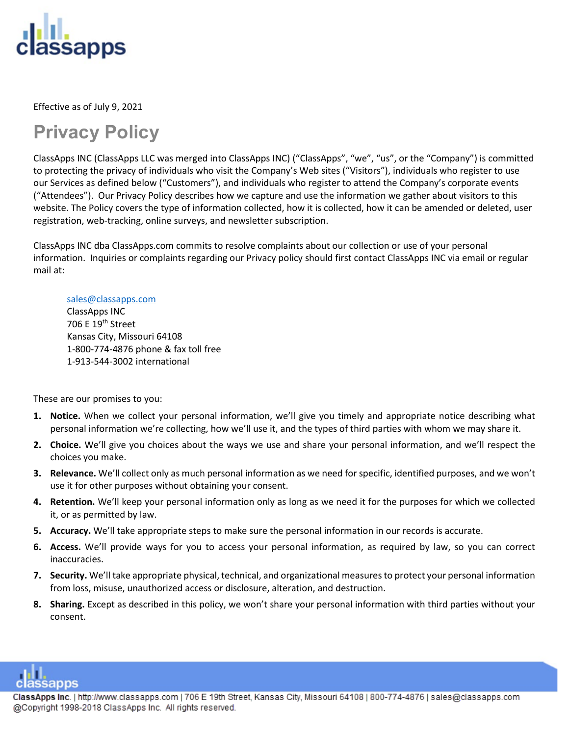

Effective as of July 9, 2021

## **Privacy Policy**

ClassApps INC (ClassApps LLC was merged into ClassApps INC) ("ClassApps", "we", "us", or the "Company") is committed to protecting the privacy of individuals who visit the Company's Web sites ("Visitors"), individuals who register to use our Services as defined below ("Customers"), and individuals who register to attend the Company's corporate events ("Attendees"). Our Privacy Policy describes how we capture and use the information we gather about visitors to this website. The Policy covers the type of information collected, how it is collected, how it can be amended or deleted, user registration, web-tracking, online surveys, and newsletter subscription.

ClassApps INC dba ClassApps.com commits to resolve complaints about our collection or use of your personal information. Inquiries or complaints regarding our Privacy policy should first contact ClassApps INC via email or regular mail at:

### [sales@classapps.com](mailto:sales@classapps.com)

ClassApps INC 706 E 19<sup>th</sup> Street Kansas City, Missouri 64108 1-800-774-4876 phone & fax toll free 1-913-544-3002 international

These are our promises to you:

- **1. Notice.** When we collect your personal information, we'll give you timely and appropriate notice describing what personal information we're collecting, how we'll use it, and the types of third parties with whom we may share it.
- **2. Choice.** We'll give you choices about the ways we use and share your personal information, and we'll respect the choices you make.
- **3. Relevance.** We'll collect only as much personal information as we need for specific, identified purposes, and we won't use it for other purposes without obtaining your consent.
- **4. Retention.** We'll keep your personal information only as long as we need it for the purposes for which we collected it, or as permitted by law.
- **5. Accuracy.** We'll take appropriate steps to make sure the personal information in our records is accurate.
- **6. Access.** We'll provide ways for you to access your personal information, as required by law, so you can correct inaccuracies.
- **7. Security.** We'll take appropriate physical, technical, and organizational measures to protect your personal information from loss, misuse, unauthorized access or disclosure, alteration, and destruction.
- **8. Sharing.** Except as described in this policy, we won't share your personal information with third parties without your consent.

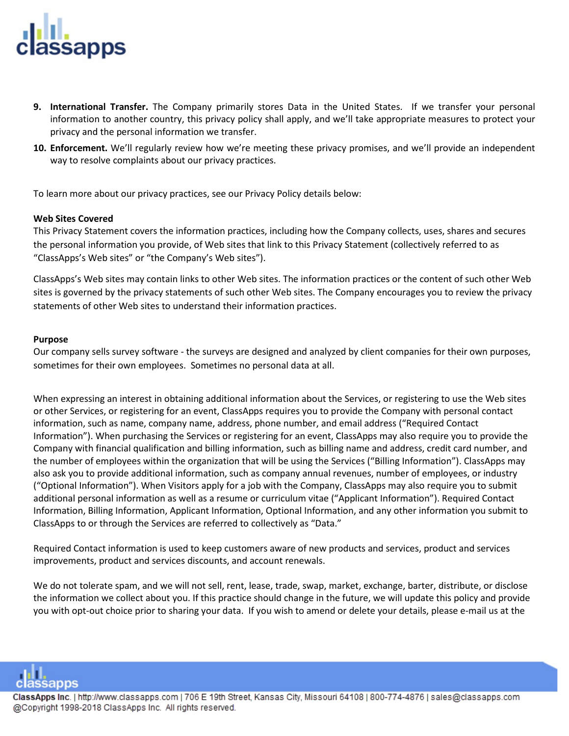

- **9. International Transfer.** The Company primarily stores Data in the United States. If we transfer your personal information to another country, this privacy policy shall apply, and we'll take appropriate measures to protect your privacy and the personal information we transfer.
- **10. Enforcement.** We'll regularly review how we're meeting these privacy promises, and we'll provide an independent way to resolve complaints about our privacy practices.

To learn more about our privacy practices, see our Privacy Policy details below:

### **Web Sites Covered**

This Privacy Statement covers the information practices, including how the Company collects, uses, shares and secures the personal information you provide, of Web sites that link to this Privacy Statement (collectively referred to as "ClassApps's Web sites" or "the Company's Web sites").

ClassApps's Web sites may contain links to other Web sites. The information practices or the content of such other Web sites is governed by the privacy statements of such other Web sites. The Company encourages you to review the privacy statements of other Web sites to understand their information practices.

### **Purpose**

Our company sells survey software - the surveys are designed and analyzed by client companies for their own purposes, sometimes for their own employees. Sometimes no personal data at all.

When expressing an interest in obtaining additional information about the Services, or registering to use the Web sites or other Services, or registering for an event, ClassApps requires you to provide the Company with personal contact information, such as name, company name, address, phone number, and email address ("Required Contact Information"). When purchasing the Services or registering for an event, ClassApps may also require you to provide the Company with financial qualification and billing information, such as billing name and address, credit card number, and the number of employees within the organization that will be using the Services ("Billing Information"). ClassApps may also ask you to provide additional information, such as company annual revenues, number of employees, or industry ("Optional Information"). When Visitors apply for a job with the Company, ClassApps may also require you to submit additional personal information as well as a resume or curriculum vitae ("Applicant Information"). Required Contact Information, Billing Information, Applicant Information, Optional Information, and any other information you submit to ClassApps to or through the Services are referred to collectively as "Data."

Required Contact information is used to keep customers aware of new products and services, product and services improvements, product and services discounts, and account renewals.

We do not tolerate spam, and we will not sell, rent, lease, trade, swap, market, exchange, barter, distribute, or disclose the information we collect about you. If this practice should change in the future, we will update this policy and provide you with opt-out choice prior to sharing your data. If you wish to amend or delete your details, please e-mail us at the

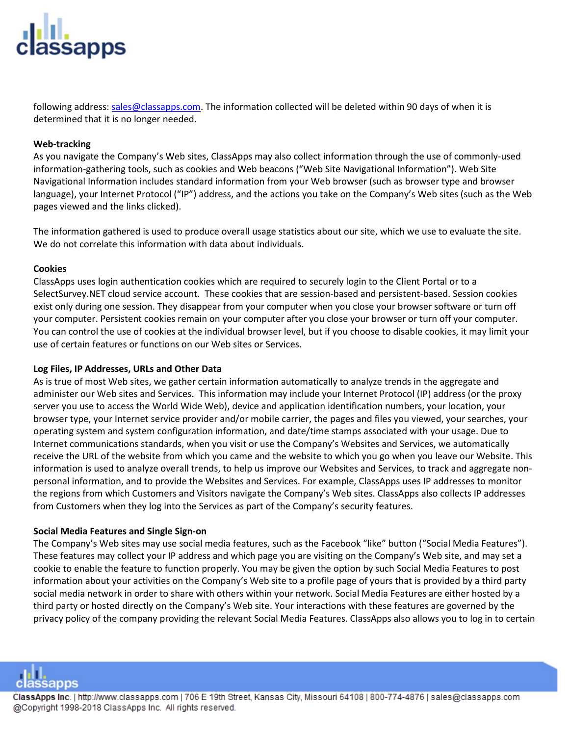# ssapps

following address: [sales@classapps.com.](mailto:sales@classapps.com) The information collected will be deleted within 90 days of when it is determined that it is no longer needed.

### **Web-tracking**

As you navigate the Company's Web sites, ClassApps may also collect information through the use of commonly-used information-gathering tools, such as cookies and Web beacons ("Web Site Navigational Information"). Web Site Navigational Information includes standard information from your Web browser (such as browser type and browser language), your Internet Protocol ("IP") address, and the actions you take on the Company's Web sites (such as the Web pages viewed and the links clicked).

The information gathered is used to produce overall usage statistics about our site, which we use to evaluate the site. We do not correlate this information with data about individuals.

### **Cookies**

ClassApps uses login authentication cookies which are required to securely login to the Client Portal or to a SelectSurvey.NET cloud service account. These cookies that are session-based and persistent-based. Session cookies exist only during one session. They disappear from your computer when you close your browser software or turn off your computer. Persistent cookies remain on your computer after you close your browser or turn off your computer. You can control the use of cookies at the individual browser level, but if you choose to disable cookies, it may limit your use of certain features or functions on our Web sites or Services.

### **Log Files, IP Addresses, URLs and Other Data**

As is true of most Web sites, we gather certain information automatically to analyze trends in the aggregate and administer our Web sites and Services. This information may include your Internet Protocol (IP) address (or the proxy server you use to access the World Wide Web), device and application identification numbers, your location, your browser type, your Internet service provider and/or mobile carrier, the pages and files you viewed, your searches, your operating system and system configuration information, and date/time stamps associated with your usage. Due to Internet communications standards, when you visit or use the Company's Websites and Services, we automatically receive the URL of the website from which you came and the website to which you go when you leave our Website. This information is used to analyze overall trends, to help us improve our Websites and Services, to track and aggregate nonpersonal information, and to provide the Websites and Services. For example, ClassApps uses IP addresses to monitor the regions from which Customers and Visitors navigate the Company's Web sites. ClassApps also collects IP addresses from Customers when they log into the Services as part of the Company's security features.

### **Social Media Features and Single Sign-on**

The Company's Web sites may use social media features, such as the Facebook "like" button ("Social Media Features"). These features may collect your IP address and which page you are visiting on the Company's Web site, and may set a cookie to enable the feature to function properly. You may be given the option by such Social Media Features to post information about your activities on the Company's Web site to a profile page of yours that is provided by a third party social media network in order to share with others within your network. Social Media Features are either hosted by a third party or hosted directly on the Company's Web site. Your interactions with these features are governed by the privacy policy of the company providing the relevant Social Media Features. ClassApps also allows you to log in to certain

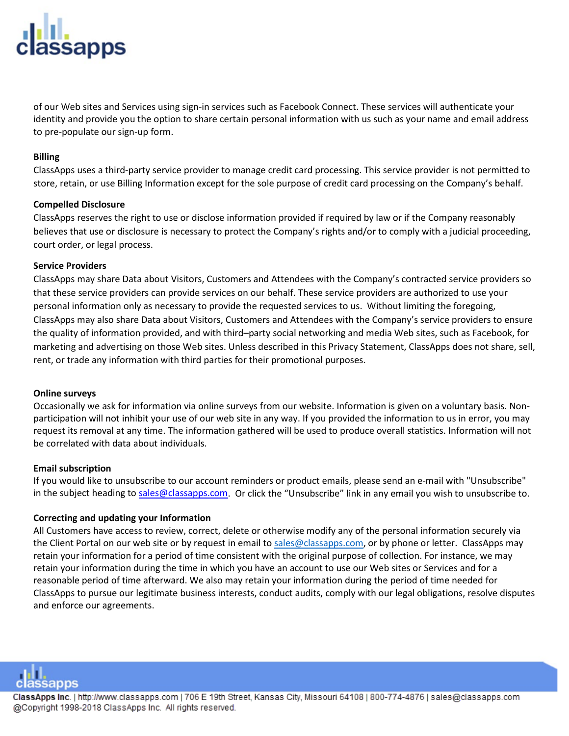of our Web sites and Services using sign-in services such as Facebook Connect. These services will authenticate your identity and provide you the option to share certain personal information with us such as your name and email address to pre-populate our sign-up form.

### **Billing**

ClassApps uses a third-party service provider to manage credit card processing. This service provider is not permitted to store, retain, or use Billing Information except for the sole purpose of credit card processing on the Company's behalf.

### **Compelled Disclosure**

ClassApps reserves the right to use or disclose information provided if required by law or if the Company reasonably believes that use or disclosure is necessary to protect the Company's rights and/or to comply with a judicial proceeding, court order, or legal process.

### **Service Providers**

ClassApps may share Data about Visitors, Customers and Attendees with the Company's contracted service providers so that these service providers can provide services on our behalf. These service providers are authorized to use your personal information only as necessary to provide the requested services to us. Without limiting the foregoing, ClassApps may also share Data about Visitors, Customers and Attendees with the Company's service providers to ensure the quality of information provided, and with third–party social networking and media Web sites, such as Facebook, for marketing and advertising on those Web sites. Unless described in this Privacy Statement, ClassApps does not share, sell, rent, or trade any information with third parties for their promotional purposes.

### **Online surveys**

Occasionally we ask for information via online surveys from our website. Information is given on a voluntary basis. Nonparticipation will not inhibit your use of our web site in any way. If you provided the information to us in error, you may request its removal at any time. The information gathered will be used to produce overall statistics. Information will not be correlated with data about individuals.

### **Email subscription**

If you would like to unsubscribe to our account reminders or product emails, please send an e-mail with "Unsubscribe" in the subject heading to [sales@classapps.com.](mailto:sales@classapps.com) Or click the "Unsubscribe" link in any email you wish to unsubscribe to.

### **Correcting and updating your Information**

All Customers have access to review, correct, delete or otherwise modify any of the personal information securely via the Client Portal on our web site or by request in email to [sales@classapps.com,](mailto:sales@classapps.com) or by phone or letter. ClassApps may retain your information for a period of time consistent with the original purpose of collection. For instance, we may retain your information during the time in which you have an account to use our Web sites or Services and for a reasonable period of time afterward. We also may retain your information during the period of time needed for ClassApps to pursue our legitimate business interests, conduct audits, comply with our legal obligations, resolve disputes and enforce our agreements.



ClassApps Inc. | http://www.classapps.com | 706 E 19th Street, Kansas City, Missouri 64108 | 800-774-4876 | sales@classapps.com @Copyright 1998-2018 ClassApps Inc. All rights reserved.